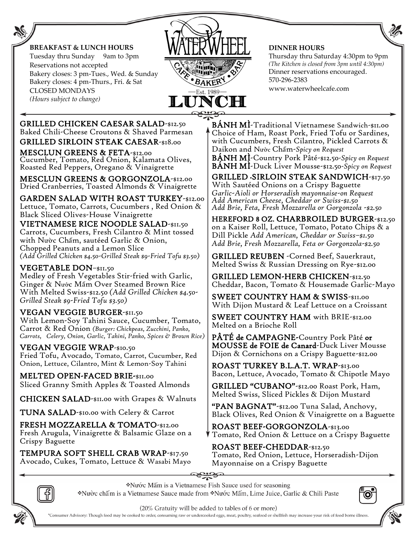

*(Hours subject to change)*



#### **DINNER HOURS**

Thursday thru Saturday 4:30pm to 9pm *(The Kitchen is closed from 3pm until 4:30pm)*  Dinner reservations encouraged. 570-296-2383 www.waterwheelcafe.com

 GRILLED CHICKEN CAESAR SALAD-\$12.50 Baked Chili-Cheese Croutons & Shaved Parmesan GRILLED SIRLOIN STEAK CAESAR-\$18.00

MESCLUN GREENS & FETA-\$12.00 Cucumber, Tomato, Red Onion, Kalamata Olives, Roasted Red Peppers, Oregano & Vinaigrette

 MESCLUN GREENS & GORGONZOLA-\$12.00 Dried Cranberries, Toasted Almonds & Vinaigrette

GARDEN SALAD WITH ROAST TURKEY-\$12.00 Lettuce, Tomato, Carrots, Cucumbers , Red Onion & Black Sliced Olives-House Vinaigrette

VIETNAMESE RICE NOODLE SALAD-\$11.50 Carrots, Cucumbers, Fresh Cilantro & Mint tossed with Nườc Chấm, sautéed Garlic & Onion, Chopped Peanuts and a Lemon Slice *(Add Grilled Chicken \$4.50-Grilled Steak \$9-Fried Tofu \$3.50)*

### VEGETABLE DON–\$11.50

Medley of Fresh Vegetables Stir-fried with Garlic, Ginger & Nước Mấm Over Steamed Brown Rice With Melted Swiss-\$12.50 *(Add Grilled Chicken \$4.50- Grilled Steak \$9-Fried Tofu \$3.50)*

### VEGAN VEGGIE BURGER-\$11.50

With Lemon-Soy Tahini Sauce, Cucumber, Tomato, Carrot & Red Onion *(Burger: Chickpeas, Zucchini, Panko, Carrots, Celery, Onion, Garlic, Tahini, Panko, Spices & Brown Rice)*

#### VEGAN VEGGIE WRAP-\$10.50

Fried Tofu, Avocado, Tomato, Carrot, Cucumber, Red Onion, Lettuce, Cilantro, Mint & Lemon-Soy Tahini

MELTED OPEN-FACED BRIE-\$11.00 Sliced Granny Smith Apples & Toasted Almonds

CHICKEN SALAD-\$11.00 with Grapes & Walnuts

TUNA SALAD-\$10.00 with Celery & Carrot

FRESH MOZZARELLA & TOMATO-\$12.00 Fresh Arugula, Vinaigrette & Balsamic Glaze on a Crispy Baguette

TEMPURA SOFT SHELL CRAB WRAP-\$17.50 Avocado, Cukes, Tomato, Lettuce & Wasabi Mayo  $\check{\mathrm{BAMH}}$   $\check{\mathrm{M}}$  Traditional Vietnamese Sandwich-\$11.00 Choice of Ham, Roast Pork, Fried Tofu or Sardines, with Cucumbers, Fresh Cilantro, Pickled Carrots & Daikon and Nườ c Chấ m-*Spicy on Request* 

BÁNH MÌ-Country Pork Pâté-\$12.50*-Spicy on Request*  BÁNH MÌ-Duck Liver Mousse-\$12.50*-Spicy on Request* 

GRILLED \*SIRLOIN STEAK SANDWICH-\$17.50 With Sautéed Onions on a Crispy Baguette *Garlic-Aioli or Horseradish mayonnaise-on Request Add American Cheese, Cheddar or Swiss-\$1.50 Add Brie, Feta, Fresh Mozzarella or Gorgonzola -\$2.50*

HEREFORD 8 OZ. CHARBROILED BURGER-\$12.50 on a Kaiser Roll, Lettuce, Tomato, Potato Chips & a Dill Pickle *Add American, Cheddar or Swiss–\$1.50 Add Brie, Fresh Mozzarella, Feta or Gorgonzola-\$2.50*

GRILLED REUBEN -Corned Beef, Sauerkraut, Melted Swiss & Russian Dressing on Rye-\$12.00

GRILLED LEMON-HERB CHICKEN-\$12.50 Cheddar, Bacon, Tomato & Housemade Garlic-Mayo

SWEET COUNTRY HAM & SWISS-\$11.00 With Dijon Mustard & Leaf Lettuce on a Croissant

SWEET COUNTRY HAM with BRIE-\$12.00 Melted on a Brioche Roll

PÂTÉ de CAMPAGNE-Country Pork Pâté or MOUSSE de FOIE de Canard-Duck Liver Mousse Dijon & Cornichons on a Crispy Baguette-\$12.00

ROAST TURKEY B.L.A.T. WRAP-\$13.00 Bacon, Lettuce, Avocado, Tomato & Chipotle Mayo

GRILLED "CUBANO"-\$12.00 Roast Pork, Ham, Melted Swiss, Sliced Pickles & Dijon Mustard

"PAN BAGNAT"-\$12.00 Tuna Salad, Anchovy, Black Olives, Red Onion & Vinaigrette on a Baguette

ROAST BEEF-GORGONZOLA-\$13.00 Tomato, Red Onion & Lettuce on a Crispy Baguette

# ROAST BEEF-CHEDDAR-\$12.50

Tomato, Red Onion, Lettuce, Horseradish-Dijon Mayonnaise on a Crispy Baguette

\*Nước Mấm is a Vietnamese Fish Sauce used for seasoning \*Nuò cchấm is a Vietnamese Sauce made from \*Nuó cMấm, Lime Juice, Garlic & Chili Paste





(20% Gratuity will be added to tables of 6 or more)

'Consumer Advisory: Though food may be cooked to order, consuming raw or undercooked eggs, meat, poultry, seafood or shellfish may increase your risk of food borne illness.